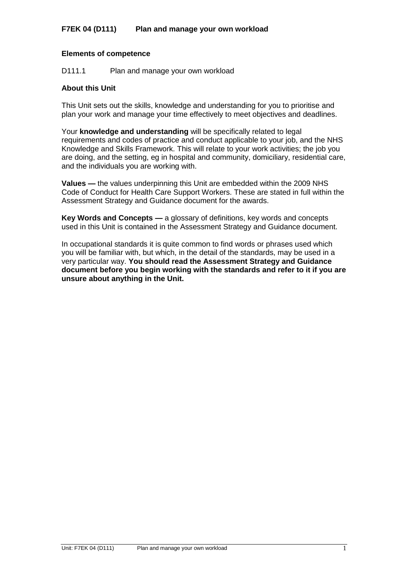# **Elements of competence**

D111.1 Plan and manage your own workload

# **About this Unit**

This Unit sets out the skills, knowledge and understanding for you to prioritise and plan your work and manage your time effectively to meet objectives and deadlines.

Your **knowledge and understanding** will be specifically related to legal requirements and codes of practice and conduct applicable to your job, and the NHS Knowledge and Skills Framework. This will relate to your work activities; the job you are doing, and the setting, eg in hospital and community, domiciliary, residential care, and the individuals you are working with.

**Values —** the values underpinning this Unit are embedded within the 2009 NHS Code of Conduct for Health Care Support Workers. These are stated in full within the Assessment Strategy and Guidance document for the awards.

**Key Words and Concepts —** a glossary of definitions, key words and concepts used in this Unit is contained in the Assessment Strategy and Guidance document.

In occupational standards it is quite common to find words or phrases used which you will be familiar with, but which, in the detail of the standards, may be used in a very particular way. **You should read the Assessment Strategy and Guidance document before you begin working with the standards and refer to it if you are unsure about anything in the Unit.**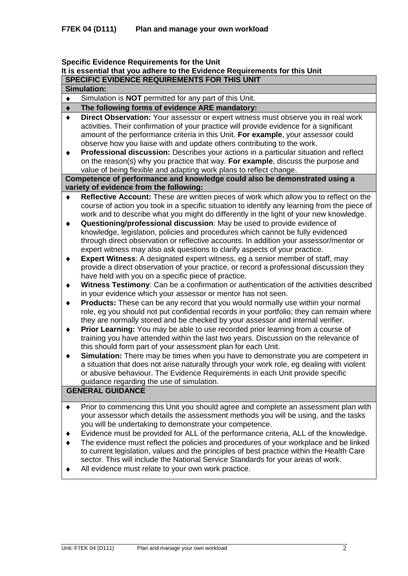# **Specific Evidence Requirements for the Unit**

# **It is essential that you adhere to the Evidence Requirements for this Unit**

**SPECIFIC EVIDENCE REQUIREMENTS FOR THIS UNIT**

|  |  | UI LUII IU LIIDLIIU |  |  |  |
|--|--|---------------------|--|--|--|
|  |  | <b>Simulation:</b>  |  |  |  |
|  |  |                     |  |  |  |

Simulation is **NOT** permitted for any part of this Unit.  $\blacklozenge$ 

#### **The following forms of evidence ARE mandatory:**  $\ddot{\bullet}$

- **Direct Observation:** Your assessor or expert witness must observe you in real work  $\bullet$ activities. Their confirmation of your practice will provide evidence for a significant amount of the performance criteria in this Unit. **For example**, your assessor could observe how you liaise with and update others contributing to the work.
- $\blacklozenge$ **Professional discussion:** Describes your actions in a particular situation and reflect on the reason(s) why you practice that way. **For example**, discuss the purpose and value of being flexible and adapting work plans to reflect change.

### **Competence of performance and knowledge could also be demonstrated using a variety of evidence from the following:**

- **Reflective Account:** These are written pieces of work which allow you to reflect on the  $\blacklozenge$ course of action you took in a specific situation to identify any learning from the piece of work and to describe what you might do differently in the light of your new knowledge.
- **Questioning/professional discussion**: May be used to provide evidence of  $\bullet$ knowledge, legislation, policies and procedures which cannot be fully evidenced through direct observation or reflective accounts. In addition your assessor/mentor or expert witness may also ask questions to clarify aspects of your practice.
- **Expert Witness**: A designated expert witness, eg a senior member of staff, may  $\ddot{\bullet}$ provide a direct observation of your practice, or record a professional discussion they have held with you on a specific piece of practice.
- **Witness Testimony**: Can be a confirmation or authentication of the activities described  $\blacklozenge$ in your evidence which your assessor or mentor has not seen.
- $\blacklozenge$ **Products:** These can be any record that you would normally use within your normal role, eg you should not put confidential records in your portfolio; they can remain where they are normally stored and be checked by your assessor and internal verifier.
- $\blacklozenge$ **Prior Learning:** You may be able to use recorded prior learning from a course of training you have attended within the last two years. Discussion on the relevance of this should form part of your assessment plan for each Unit.
- **Simulation:** There may be times when you have to demonstrate you are competent in  $\blacklozenge$ a situation that does not arise naturally through your work role, eg dealing with violent or abusive behaviour. The Evidence Requirements in each Unit provide specific guidance regarding the use of simulation.

# **GENERAL GUIDANCE**

- Prior to commencing this Unit you should agree and complete an assessment plan with  $\bullet$ your assessor which details the assessment methods you will be using, and the tasks you will be undertaking to demonstrate your competence.
- Evidence must be provided for ALL of the performance criteria, ALL of the knowledge.  $\blacklozenge$
- The evidence must reflect the policies and procedures of your workplace and be linked  $\blacktriangle$ to current legislation, values and the principles of best practice within the Health Care sector. This will include the National Service Standards for your areas of work.
- All evidence must relate to your own work practice.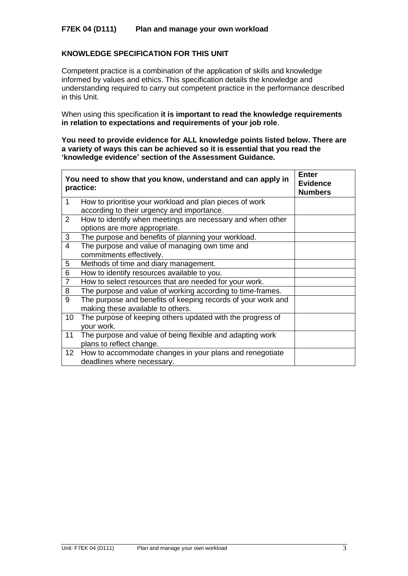# **F7EK 04 (D111) Plan and manage your own workload**

# **KNOWLEDGE SPECIFICATION FOR THIS UNIT**

Competent practice is a combination of the application of skills and knowledge informed by values and ethics. This specification details the knowledge and understanding required to carry out competent practice in the performance described in this Unit.

When using this specification **it is important to read the knowledge requirements in relation to expectations and requirements of your job role**.

**You need to provide evidence for ALL knowledge points listed below. There are a variety of ways this can be achieved so it is essential that you read the 'knowledge evidence' section of the Assessment Guidance.**

|                 | You need to show that you know, understand and can apply in<br>practice: | <b>Enter</b><br><b>Evidence</b><br><b>Numbers</b> |
|-----------------|--------------------------------------------------------------------------|---------------------------------------------------|
| 1               | How to prioritise your workload and plan pieces of work                  |                                                   |
|                 | according to their urgency and importance.                               |                                                   |
| $\overline{2}$  | How to identify when meetings are necessary and when other               |                                                   |
|                 | options are more appropriate.                                            |                                                   |
| 3               | The purpose and benefits of planning your workload.                      |                                                   |
| 4               | The purpose and value of managing own time and                           |                                                   |
|                 | commitments effectively.                                                 |                                                   |
| 5               | Methods of time and diary management.                                    |                                                   |
| 6               | How to identify resources available to you.                              |                                                   |
| $\overline{7}$  | How to select resources that are needed for your work.                   |                                                   |
| 8               | The purpose and value of working according to time-frames.               |                                                   |
| 9               | The purpose and benefits of keeping records of your work and             |                                                   |
|                 | making these available to others.                                        |                                                   |
| 10              | The purpose of keeping others updated with the progress of               |                                                   |
|                 | your work.                                                               |                                                   |
| 11              | The purpose and value of being flexible and adapting work                |                                                   |
|                 | plans to reflect change.                                                 |                                                   |
| 12 <sub>2</sub> | How to accommodate changes in your plans and renegotiate                 |                                                   |
|                 | deadlines where necessary.                                               |                                                   |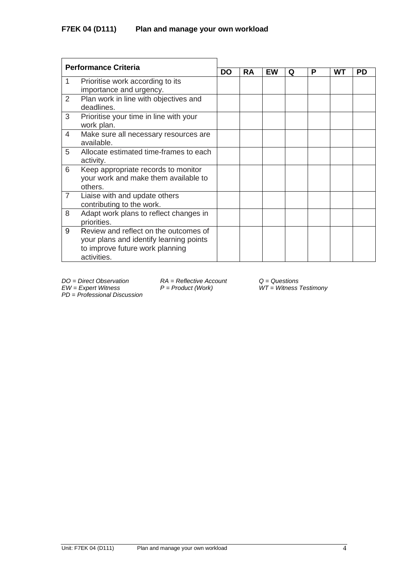| <b>Performance Criteria</b> |                                                                                                                                    |  |           |    |   |   |    |           |  |
|-----------------------------|------------------------------------------------------------------------------------------------------------------------------------|--|-----------|----|---|---|----|-----------|--|
|                             |                                                                                                                                    |  | <b>RA</b> | EW | Q | P | WТ | <b>PD</b> |  |
| 1                           | Prioritise work according to its<br>importance and urgency.                                                                        |  |           |    |   |   |    |           |  |
| 2                           | Plan work in line with objectives and<br>deadlines.                                                                                |  |           |    |   |   |    |           |  |
| 3                           | Prioritise your time in line with your<br>work plan.                                                                               |  |           |    |   |   |    |           |  |
| 4                           | Make sure all necessary resources are<br>available.                                                                                |  |           |    |   |   |    |           |  |
| 5                           | Allocate estimated time-frames to each<br>activity.                                                                                |  |           |    |   |   |    |           |  |
| 6                           | Keep appropriate records to monitor<br>your work and make them available to<br>others.                                             |  |           |    |   |   |    |           |  |
| $\overline{7}$              | Liaise with and update others<br>contributing to the work.                                                                         |  |           |    |   |   |    |           |  |
| 8                           | Adapt work plans to reflect changes in<br>priorities.                                                                              |  |           |    |   |   |    |           |  |
| 9                           | Review and reflect on the outcomes of<br>your plans and identify learning points<br>to improve future work planning<br>activities. |  |           |    |   |   |    |           |  |

*EW = Expert Witness P = Product (Work) WT = Witness Testimony*

*PD* = *Professional Discussion*

*DO = Direct Observation RA = Reflective Account Q = Questions*